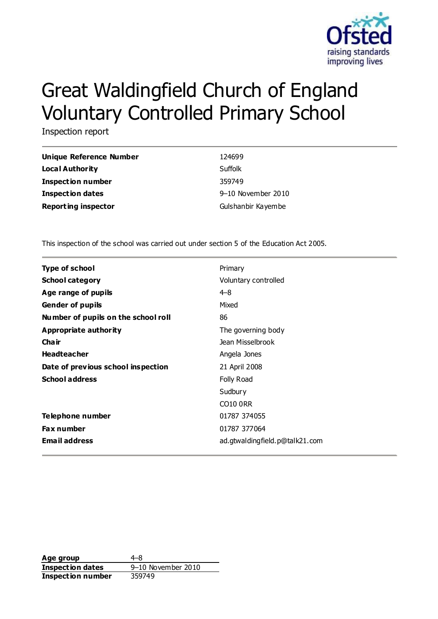

# Great Waldingfield Church of England Voluntary Controlled Primary School

Inspection report

| Unique Reference Number    | 124699             |
|----------------------------|--------------------|
| <b>Local Authority</b>     | Suffolk            |
| Inspection number          | 359749             |
| <b>Inspection dates</b>    | 9-10 November 2010 |
| <b>Reporting inspector</b> | Gulshanbir Kayembe |

This inspection of the school was carried out under section 5 of the Education Act 2005.

| <b>Type of school</b>               | Primary                        |
|-------------------------------------|--------------------------------|
| <b>School category</b>              | Voluntary controlled           |
| Age range of pupils                 | $4 - 8$                        |
| <b>Gender of pupils</b>             | Mixed                          |
| Number of pupils on the school roll | 86                             |
| Appropriate authority               | The governing body             |
| Cha ir                              | Jean Misselbrook               |
| <b>Headteacher</b>                  | Angela Jones                   |
| Date of previous school inspection  | 21 April 2008                  |
| <b>School address</b>               | Folly Road                     |
|                                     | Sudbury                        |
|                                     | <b>CO10 ORR</b>                |
| Telephone number                    | 01787 374055                   |
| <b>Fax number</b>                   | 01787 377064                   |
| <b>Email address</b>                | ad.gtwaldingfield.p@talk21.com |

**Age group** 4–8 **Inspection dates** 9–10 November 2010 **Inspection number** 359749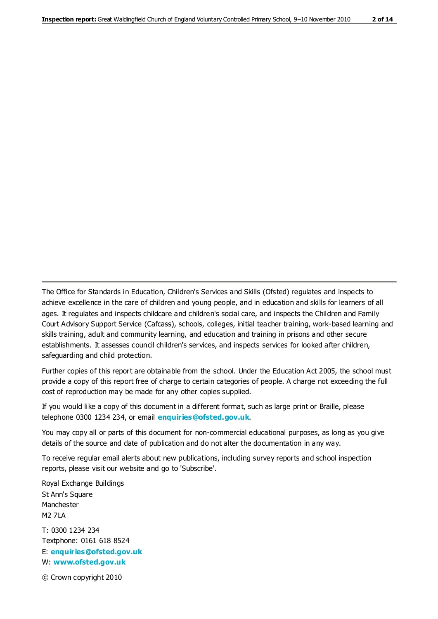The Office for Standards in Education, Children's Services and Skills (Ofsted) regulates and inspects to achieve excellence in the care of children and young people, and in education and skills for learners of all ages. It regulates and inspects childcare and children's social care, and inspects the Children and Family Court Advisory Support Service (Cafcass), schools, colleges, initial teacher training, work-based learning and skills training, adult and community learning, and education and training in prisons and other secure establishments. It assesses council children's services, and inspects services for looked after children, safeguarding and child protection.

Further copies of this report are obtainable from the school. Under the Education Act 2005, the school must provide a copy of this report free of charge to certain categories of people. A charge not exceeding the full cost of reproduction may be made for any other copies supplied.

If you would like a copy of this document in a different format, such as large print or Braille, please telephone 0300 1234 234, or email **[enquiries@ofsted.gov.uk](mailto:enquiries@ofsted.gov.uk)**.

You may copy all or parts of this document for non-commercial educational purposes, as long as you give details of the source and date of publication and do not alter the documentation in any way.

To receive regular email alerts about new publications, including survey reports and school inspection reports, please visit our website and go to 'Subscribe'.

Royal Exchange Buildings St Ann's Square Manchester M2 7LA T: 0300 1234 234 Textphone: 0161 618 8524 E: **[enquiries@ofsted.gov.uk](mailto:enquiries@ofsted.gov.uk)** W: **[www.ofsted.gov.uk](http://www.ofsted.gov.uk/)**

© Crown copyright 2010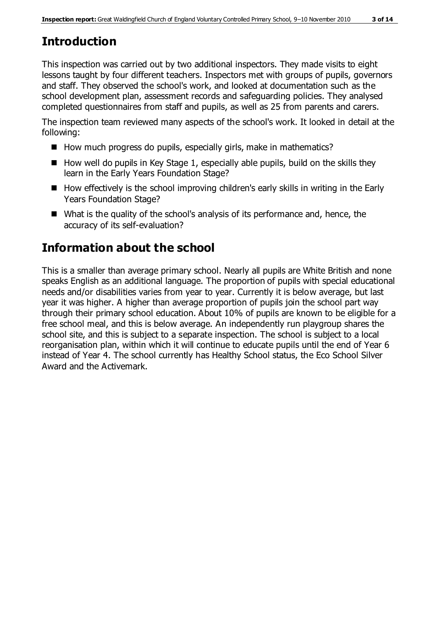# **Introduction**

This inspection was carried out by two additional inspectors. They made visits to eight lessons taught by four different teachers. Inspectors met with groups of pupils, governors and staff. They observed the school's work, and looked at documentation such as the school development plan, assessment records and safeguarding policies. They analysed completed questionnaires from staff and pupils, as well as 25 from parents and carers.

The inspection team reviewed many aspects of the school's work. It looked in detail at the following:

- How much progress do pupils, especially girls, make in mathematics?
- $\blacksquare$  How well do pupils in Key Stage 1, especially able pupils, build on the skills they learn in the Early Years Foundation Stage?
- How effectively is the school improving children's early skills in writing in the Early Years Foundation Stage?
- What is the quality of the school's analysis of its performance and, hence, the accuracy of its self-evaluation?

# **Information about the school**

This is a smaller than average primary school. Nearly all pupils are White British and none speaks English as an additional language. The proportion of pupils with special educational needs and/or disabilities varies from year to year. Currently it is below average, but last year it was higher. A higher than average proportion of pupils join the school part way through their primary school education. About 10% of pupils are known to be eligible for a free school meal, and this is below average. An independently run playgroup shares the school site, and this is subject to a separate inspection. The school is subject to a local reorganisation plan, within which it will continue to educate pupils until the end of Year 6 instead of Year 4. The school currently has Healthy School status, the Eco School Silver Award and the Activemark.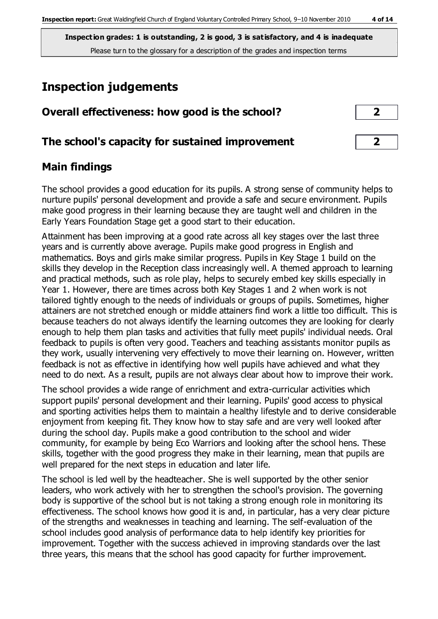# **Inspection judgements**

| Overall effectiveness: how good is the school?  | ∍                       |  |
|-------------------------------------------------|-------------------------|--|
| The school's capacity for sustained improvement | $\overline{\mathbf{2}}$ |  |

## **Main findings**

The school provides a good education for its pupils. A strong sense of community helps to nurture pupils' personal development and provide a safe and secure environment. Pupils make good progress in their learning because they are taught well and children in the Early Years Foundation Stage get a good start to their education.

Attainment has been improving at a good rate across all key stages over the last three years and is currently above average. Pupils make good progress in English and mathematics. Boys and girls make similar progress. Pupils in Key Stage 1 build on the skills they develop in the Reception class increasingly well. A themed approach to learning and practical methods, such as role play, helps to securely embed key skills especially in Year 1. However, there are times across both Key Stages 1 and 2 when work is not tailored tightly enough to the needs of individuals or groups of pupils. Sometimes, higher attainers are not stretched enough or middle attainers find work a little too difficult. This is because teachers do not always identify the learning outcomes they are looking for clearly enough to help them plan tasks and activities that fully meet pupils' individual needs. Oral feedback to pupils is often very good. Teachers and teaching as sistants monitor pupils as they work, usually intervening very effectively to move their learning on. However, written feedback is not as effective in identifying how well pupils have achieved and what they need to do next. As a result, pupils are not always clear about how to improve their work.

The school provides a wide range of enrichment and extra-curricular activities which support pupils' personal development and their learning. Pupils' good access to physical and sporting activities helps them to maintain a healthy lifestyle and to derive considerable enjoyment from keeping fit. They know how to stay safe and are very well looked after during the school day. Pupils make a good contribution to the school and wider community, for example by being Eco Warriors and looking after the school hens. These skills, together with the good progress they make in their learning, mean that pupils are well prepared for the next steps in education and later life.

The school is led well by the headteacher. She is well supported by the other senior leaders, who work actively with her to strengthen the school's provision. The governing body is supportive of the school but is not taking a strong enough role in monitoring its effectiveness. The school knows how good it is and, in particular, has a very clear picture of the strengths and weaknesses in teaching and learning. The self-evaluation of the school includes good analysis of performance data to help identify key priorities for improvement. Together with the success achieved in improving standards over the last three years, this means that the school has good capacity for further improvement.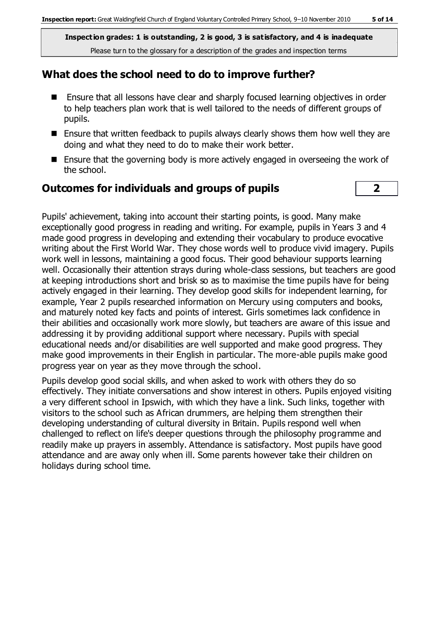## **What does the school need to do to improve further?**

- Ensure that all lessons have clear and sharply focused learning objectives in order to help teachers plan work that is well tailored to the needs of different groups of pupils.
- Ensure that written feedback to pupils always clearly shows them how well they are doing and what they need to do to make their work better.
- **Ensure that the governing body is more actively engaged in overseeing the work of** the school.

### **Outcomes for individuals and groups of pupils 2**

Pupils' achievement, taking into account their starting points, is good. Many make exceptionally good progress in reading and writing. For example, pupils in Years 3 and 4 made good progress in developing and extending their vocabulary to produce evocative writing about the First World War. They chose words well to produce vivid imagery. Pupils work well in lessons, maintaining a good focus. Their good behaviour supports learning well. Occasionally their attention strays during whole-class sessions, but teachers are good at keeping introductions short and brisk so as to maximise the time pupils have for being actively engaged in their learning. They develop good skills for independent learning, for example, Year 2 pupils researched information on Mercury using computers and books, and maturely noted key facts and points of interest. Girls sometimes lack confidence in their abilities and occasionally work more slowly, but teachers are aware of this issue and addressing it by providing additional support where necessary. Pupils with special educational needs and/or disabilities are well supported and make good progress. They make good improvements in their English in particular. The more-able pupils make good progress year on year as they move through the school.

Pupils develop good social skills, and when asked to work with others they do so effectively. They initiate conversations and show interest in others. Pupils enjoyed visiting a very different school in Ipswich, with which they have a link. Such links, together with visitors to the school such as African drummers, are helping them strengthen their developing understanding of cultural diversity in Britain. Pupils respond well when challenged to reflect on life's deeper questions through the philosophy programme and readily make up prayers in assembly. Attendance is satisfactory. Most pupils have good attendance and are away only when ill. Some parents however take their children on holidays during school time.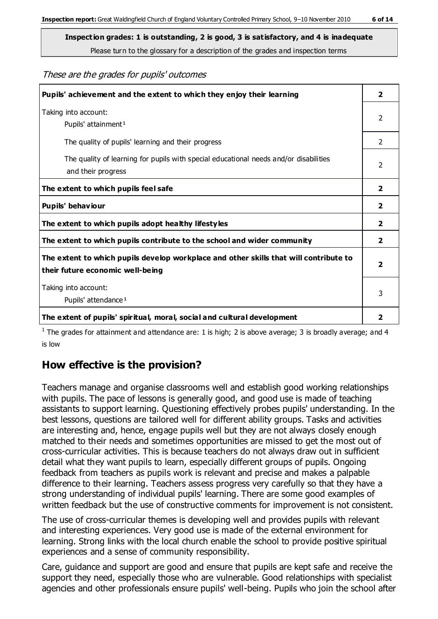These are the grades for pupils' outcomes

| Pupils' achievement and the extent to which they enjoy their learning                                                     | $\overline{\mathbf{2}}$ |
|---------------------------------------------------------------------------------------------------------------------------|-------------------------|
| Taking into account:<br>Pupils' attainment <sup>1</sup>                                                                   | $\mathcal{P}$           |
| The quality of pupils' learning and their progress                                                                        | $\mathcal{L}$           |
| The quality of learning for pupils with special educational needs and/or disabilities<br>and their progress               | $\mathcal{P}$           |
| The extent to which pupils feel safe                                                                                      | $\overline{2}$          |
| Pupils' behaviour                                                                                                         | $\overline{2}$          |
| The extent to which pupils adopt healthy lifestyles                                                                       |                         |
| The extent to which pupils contribute to the school and wider community                                                   |                         |
| The extent to which pupils develop workplace and other skills that will contribute to<br>their future economic well-being | $\mathbf{2}$            |
| Taking into account:<br>Pupils' attendance <sup>1</sup>                                                                   |                         |
| The extent of pupils' spiritual, moral, social and cultural development                                                   | 2                       |

<sup>1</sup> The grades for attainment and attendance are: 1 is high; 2 is above average; 3 is broadly average; and 4 is low

## **How effective is the provision?**

Teachers manage and organise classrooms well and establish good working relationships with pupils. The pace of lessons is generally good, and good use is made of teaching assistants to support learning. Questioning effectively probes pupils' understanding. In the best lessons, questions are tailored well for different ability groups. Tasks and activities are interesting and, hence, engage pupils well but they are not always closely enough matched to their needs and sometimes opportunities are missed to get the most out of cross-curricular activities. This is because teachers do not always draw out in sufficient detail what they want pupils to learn, especially different groups of pupils. Ongoing feedback from teachers as pupils work is relevant and precise and makes a palpable difference to their learning. Teachers assess progress very carefully so that they have a strong understanding of individual pupils' learning. There are some good examples of written feedback but the use of constructive comments for improvement is not consistent.

The use of cross-curricular themes is developing well and provides pupils with relevant and interesting experiences. Very good use is made of the external environment for learning. Strong links with the local church enable the school to provide positive spiritual experiences and a sense of community responsibility.

Care, guidance and support are good and ensure that pupils are kept safe and receive the support they need, especially those who are vulnerable. Good relationships with specialist agencies and other professionals ensure pupils' well-being. Pupils who join the school after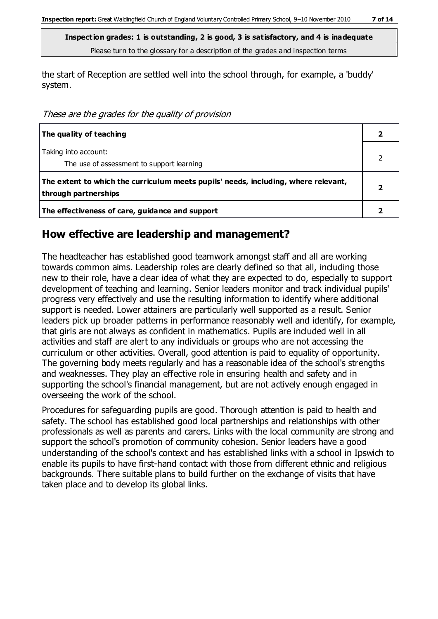the start of Reception are settled well into the school through, for example, a 'buddy' system.

These are the grades for the quality of provision

| The quality of teaching                                                                                    |  |
|------------------------------------------------------------------------------------------------------------|--|
| Taking into account:<br>The use of assessment to support learning                                          |  |
| The extent to which the curriculum meets pupils' needs, including, where relevant,<br>through partnerships |  |
| The effectiveness of care, guidance and support                                                            |  |

### **How effective are leadership and management?**

The headteacher has established good teamwork amongst staff and all are working towards common aims. Leadership roles are clearly defined so that all, including those new to their role, have a clear idea of what they are expected to do, especially to support development of teaching and learning. Senior leaders monitor and track individual pupils' progress very effectively and use the resulting information to identify where additional support is needed. Lower attainers are particularly well supported as a result. Senior leaders pick up broader patterns in performance reasonably well and identify, for example, that girls are not always as confident in mathematics. Pupils are included well in all activities and staff are alert to any individuals or groups who are not accessing the curriculum or other activities. Overall, good attention is paid to equality of opportunity. The governing body meets regularly and has a reasonable idea of the school's strengths and weaknesses. They play an effective role in ensuring health and safety and in supporting the school's financial management, but are not actively enough engaged in overseeing the work of the school.

Procedures for safeguarding pupils are good. Thorough attention is paid to health and safety. The school has established good local partnerships and relationships with other professionals as well as parents and carers. Links with the local community are strong and support the school's promotion of community cohesion. Senior leaders have a good understanding of the school's context and has established links with a school in Ipswich to enable its pupils to have first-hand contact with those from different ethnic and religious backgrounds. There suitable plans to build further on the exchange of visits that have taken place and to develop its global links.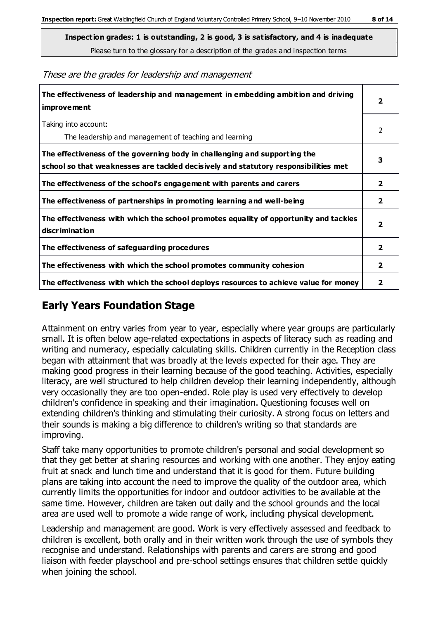These are the grades for leadership and management

| The effectiveness of leadership and management in embedding ambition and driving<br>improvement                                                                  |                |
|------------------------------------------------------------------------------------------------------------------------------------------------------------------|----------------|
| Taking into account:<br>The leadership and management of teaching and learning                                                                                   | 2              |
| The effectiveness of the governing body in challenging and supporting the<br>school so that weaknesses are tackled decisively and statutory responsibilities met | 3              |
| The effectiveness of the school's engagement with parents and carers                                                                                             | $\mathbf{2}$   |
| The effectiveness of partnerships in promoting learning and well-being                                                                                           | $\mathbf{2}$   |
| The effectiveness with which the school promotes equality of opportunity and tackles<br>discrimination                                                           | 2              |
| The effectiveness of safeguarding procedures                                                                                                                     | $\overline{2}$ |
| The effectiveness with which the school promotes community cohesion                                                                                              |                |
| The effectiveness with which the school deploys resources to achieve value for money                                                                             | 2              |

## **Early Years Foundation Stage**

Attainment on entry varies from year to year, especially where year groups are particularly small. It is often below age-related expectations in aspects of literacy such as reading and writing and numeracy, especially calculating skills. Children currently in the Reception class began with attainment that was broadly at the levels expected for their age. They are making good progress in their learning because of the good teaching. Activities, especially literacy, are well structured to help children develop their learning independently, although very occasionally they are too open-ended. Role play is used very effectively to develop children's confidence in speaking and their imagination. Questioning focuses well on extending children's thinking and stimulating their curiosity. A strong focus on letters and their sounds is making a big difference to children's writing so that standards are improving.

Staff take many opportunities to promote children's personal and social development so that they get better at sharing resources and working with one another. They enjoy eating fruit at snack and lunch time and understand that it is good for them. Future building plans are taking into account the need to improve the quality of the outdoor area, which currently limits the opportunities for indoor and outdoor activities to be available at the same time. However, children are taken out daily and the school grounds and the local area are used well to promote a wide range of work, including physical development.

Leadership and management are good. Work is very effectively assessed and feedback to children is excellent, both orally and in their written work through the use of symbols they recognise and understand. Relationships with parents and carers are strong and good liaison with feeder playschool and pre-school settings ensures that children settle quickly when joining the school.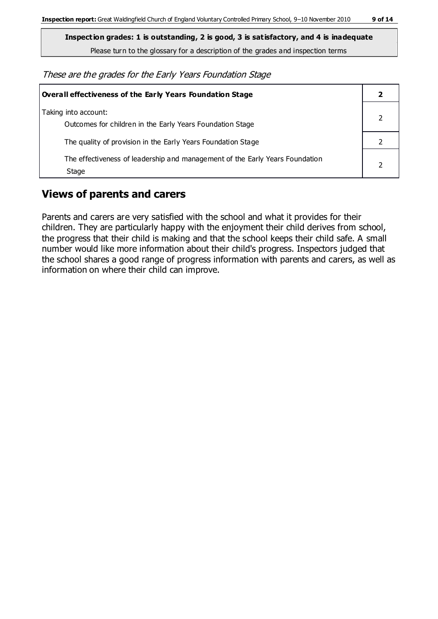**Inspection grades: 1 is outstanding, 2 is good, 3 is satisfactory, and 4 is inadequate**

Please turn to the glossary for a description of the grades and inspection terms

These are the grades for the Early Years Foundation Stage

| Overall effectiveness of the Early Years Foundation Stage                             |  |
|---------------------------------------------------------------------------------------|--|
| Taking into account:<br>Outcomes for children in the Early Years Foundation Stage     |  |
| The quality of provision in the Early Years Foundation Stage                          |  |
| The effectiveness of leadership and management of the Early Years Foundation<br>Stage |  |

## **Views of parents and carers**

Parents and carers are very satisfied with the school and what it provides for their children. They are particularly happy with the enjoyment their child derives from school, the progress that their child is making and that the school keeps their child safe. A small number would like more information about their child's progress. Inspectors judged that the school shares a good range of progress information with parents and carers, as well as information on where their child can improve.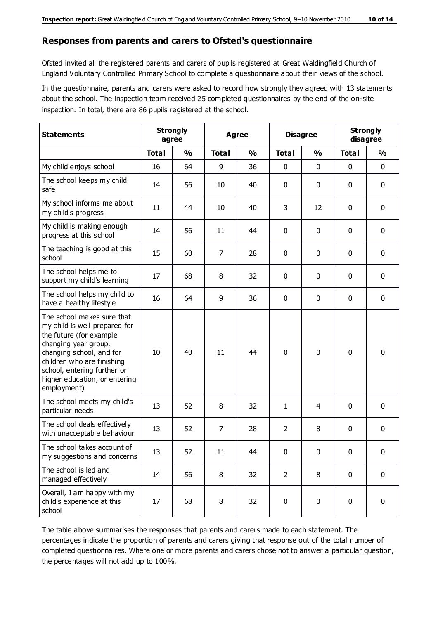#### **Responses from parents and carers to Ofsted's questionnaire**

Ofsted invited all the registered parents and carers of pupils registered at Great Waldingfield Church of England Voluntary Controlled Primary School to complete a questionnaire about their views of the school.

In the questionnaire, parents and carers were asked to record how strongly they agreed with 13 statements about the school. The inspection team received 25 completed questionnaires by the end of the on-site inspection. In total, there are 86 pupils registered at the school.

| <b>Statements</b>                                                                                                                                                                                                                                       | <b>Strongly</b><br>agree |               | Agree          |               | <b>Disagree</b> |               | <b>Strongly</b><br>disagree |               |
|---------------------------------------------------------------------------------------------------------------------------------------------------------------------------------------------------------------------------------------------------------|--------------------------|---------------|----------------|---------------|-----------------|---------------|-----------------------------|---------------|
|                                                                                                                                                                                                                                                         | <b>Total</b>             | $\frac{0}{0}$ | <b>Total</b>   | $\frac{0}{0}$ | <b>Total</b>    | $\frac{0}{0}$ | <b>Total</b>                | $\frac{1}{2}$ |
| My child enjoys school                                                                                                                                                                                                                                  | 16                       | 64            | 9              | 36            | 0               | 0             | $\mathbf 0$                 | $\mathbf 0$   |
| The school keeps my child<br>safe                                                                                                                                                                                                                       | 14                       | 56            | 10             | 40            | 0               | 0             | $\mathbf 0$                 | $\mathbf 0$   |
| My school informs me about<br>my child's progress                                                                                                                                                                                                       | 11                       | 44            | 10             | 40            | 3               | 12            | $\mathbf 0$                 | $\mathbf 0$   |
| My child is making enough<br>progress at this school                                                                                                                                                                                                    | 14                       | 56            | 11             | 44            | 0               | 0             | $\mathbf 0$                 | $\mathbf 0$   |
| The teaching is good at this<br>school                                                                                                                                                                                                                  | 15                       | 60            | $\overline{7}$ | 28            | 0               | 0             | 0                           | $\mathbf 0$   |
| The school helps me to<br>support my child's learning                                                                                                                                                                                                   | 17                       | 68            | 8              | 32            | 0               | 0             | $\mathbf 0$                 | $\mathbf 0$   |
| The school helps my child to<br>have a healthy lifestyle                                                                                                                                                                                                | 16                       | 64            | 9              | 36            | 0               | $\mathbf 0$   | $\mathbf 0$                 | $\mathbf 0$   |
| The school makes sure that<br>my child is well prepared for<br>the future (for example<br>changing year group,<br>changing school, and for<br>children who are finishing<br>school, entering further or<br>higher education, or entering<br>employment) | 10                       | 40            | 11             | 44            | $\mathbf 0$     | $\mathbf 0$   | $\mathbf 0$                 | $\mathbf 0$   |
| The school meets my child's<br>particular needs                                                                                                                                                                                                         | 13                       | 52            | 8              | 32            | 1               | 4             | $\mathbf 0$                 | $\mathbf 0$   |
| The school deals effectively<br>with unacceptable behaviour                                                                                                                                                                                             | 13                       | 52            | 7              | 28            | $\overline{2}$  | 8             | 0                           | 0             |
| The school takes account of<br>my suggestions and concerns                                                                                                                                                                                              | 13                       | 52            | 11             | 44            | 0               | 0             | 0                           | $\mathbf{0}$  |
| The school is led and<br>managed effectively                                                                                                                                                                                                            | 14                       | 56            | 8              | 32            | $\overline{2}$  | 8             | $\mathbf 0$                 | $\mathbf 0$   |
| Overall, I am happy with my<br>child's experience at this<br>school                                                                                                                                                                                     | 17                       | 68            | 8              | 32            | $\pmb{0}$       | $\pmb{0}$     | $\mathbf 0$                 | $\mathbf 0$   |

The table above summarises the responses that parents and carers made to each statement. The percentages indicate the proportion of parents and carers giving that response out of the total number of completed questionnaires. Where one or more parents and carers chose not to answer a particular question, the percentages will not add up to 100%.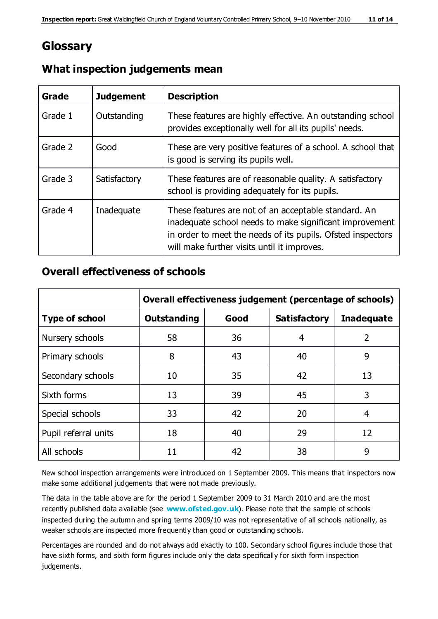## **Glossary**

| Grade   | <b>Judgement</b> | <b>Description</b>                                                                                                                                                                                                            |
|---------|------------------|-------------------------------------------------------------------------------------------------------------------------------------------------------------------------------------------------------------------------------|
| Grade 1 | Outstanding      | These features are highly effective. An outstanding school<br>provides exceptionally well for all its pupils' needs.                                                                                                          |
| Grade 2 | Good             | These are very positive features of a school. A school that<br>is good is serving its pupils well.                                                                                                                            |
| Grade 3 | Satisfactory     | These features are of reasonable quality. A satisfactory<br>school is providing adequately for its pupils.                                                                                                                    |
| Grade 4 | Inadequate       | These features are not of an acceptable standard. An<br>inadequate school needs to make significant improvement<br>in order to meet the needs of its pupils. Ofsted inspectors<br>will make further visits until it improves. |

## **What inspection judgements mean**

## **Overall effectiveness of schools**

|                       | Overall effectiveness judgement (percentage of schools) |      |                     |                   |
|-----------------------|---------------------------------------------------------|------|---------------------|-------------------|
| <b>Type of school</b> | <b>Outstanding</b>                                      | Good | <b>Satisfactory</b> | <b>Inadequate</b> |
| Nursery schools       | 58                                                      | 36   | 4                   | 2                 |
| Primary schools       | 8                                                       | 43   | 40                  | 9                 |
| Secondary schools     | 10                                                      | 35   | 42                  | 13                |
| Sixth forms           | 13                                                      | 39   | 45                  | 3                 |
| Special schools       | 33                                                      | 42   | 20                  | 4                 |
| Pupil referral units  | 18                                                      | 40   | 29                  | 12                |
| All schools           | 11                                                      | 42   | 38                  | 9                 |

New school inspection arrangements were introduced on 1 September 2009. This means that inspectors now make some additional judgements that were not made previously.

The data in the table above are for the period 1 September 2009 to 31 March 2010 and are the most recently published data available (see **[www.ofsted.gov.uk](http://www.ofsted.gov.uk/)**). Please note that the sample of schools inspected during the autumn and spring terms 2009/10 was not representative of all schools nationally, as weaker schools are inspected more frequently than good or outstanding schools.

Percentages are rounded and do not always add exactly to 100. Secondary school figures include those that have sixth forms, and sixth form figures include only the data specifically for sixth form inspection judgements.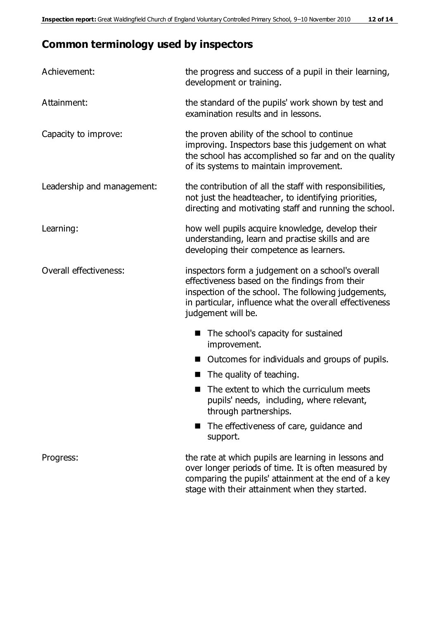# **Common terminology used by inspectors**

| Achievement:                  | the progress and success of a pupil in their learning,<br>development or training.                                                                                                                                                          |  |
|-------------------------------|---------------------------------------------------------------------------------------------------------------------------------------------------------------------------------------------------------------------------------------------|--|
| Attainment:                   | the standard of the pupils' work shown by test and<br>examination results and in lessons.                                                                                                                                                   |  |
| Capacity to improve:          | the proven ability of the school to continue<br>improving. Inspectors base this judgement on what<br>the school has accomplished so far and on the quality<br>of its systems to maintain improvement.                                       |  |
| Leadership and management:    | the contribution of all the staff with responsibilities,<br>not just the headteacher, to identifying priorities,<br>directing and motivating staff and running the school.                                                                  |  |
| Learning:                     | how well pupils acquire knowledge, develop their<br>understanding, learn and practise skills and are<br>developing their competence as learners.                                                                                            |  |
| <b>Overall effectiveness:</b> | inspectors form a judgement on a school's overall<br>effectiveness based on the findings from their<br>inspection of the school. The following judgements,<br>in particular, influence what the overall effectiveness<br>judgement will be. |  |
|                               | The school's capacity for sustained<br>improvement.                                                                                                                                                                                         |  |
|                               | Outcomes for individuals and groups of pupils.                                                                                                                                                                                              |  |
|                               | The quality of teaching.                                                                                                                                                                                                                    |  |
|                               | The extent to which the curriculum meets<br>pupils' needs, including, where relevant,<br>through partnerships.                                                                                                                              |  |
|                               | The effectiveness of care, guidance and<br>ш<br>support.                                                                                                                                                                                    |  |
| Progress:                     | the rate at which pupils are learning in lessons and<br>over longer periods of time. It is often measured by<br>comparing the pupils' attainment at the end of a key<br>stage with their attainment when they started.                      |  |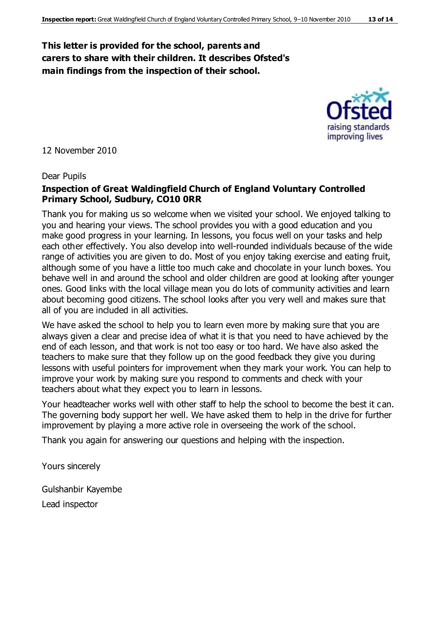## **This letter is provided for the school, parents and carers to share with their children. It describes Ofsted's main findings from the inspection of their school.**



12 November 2010

#### Dear Pupils

#### **Inspection of Great Waldingfield Church of England Voluntary Controlled Primary School, Sudbury, CO10 0RR**

Thank you for making us so welcome when we visited your school. We enjoyed talking to you and hearing your views. The school provides you with a good education and you make good progress in your learning. In lessons, you focus well on your tasks and help each other effectively. You also develop into well-rounded individuals because of the wide range of activities you are given to do. Most of you enjoy taking exercise and eating fruit, although some of you have a little too much cake and chocolate in your lunch boxes. You behave well in and around the school and older children are good at looking after younger ones. Good links with the local village mean you do lots of community activities and learn about becoming good citizens. The school looks after you very well and makes sure that all of you are included in all activities.

We have asked the school to help you to learn even more by making sure that you are always given a clear and precise idea of what it is that you need to have achieved by the end of each lesson, and that work is not too easy or too hard. We have also asked the teachers to make sure that they follow up on the good feedback they give you during lessons with useful pointers for improvement when they mark your work. You can help to improve your work by making sure you respond to comments and check with your teachers about what they expect you to learn in lessons.

Your headteacher works well with other staff to help the school to become the best it can. The governing body support her well. We have asked them to help in the drive for further improvement by playing a more active role in overseeing the work of the school.

Thank you again for answering our questions and helping with the inspection.

Yours sincerely

Gulshanbir Kayembe Lead inspector